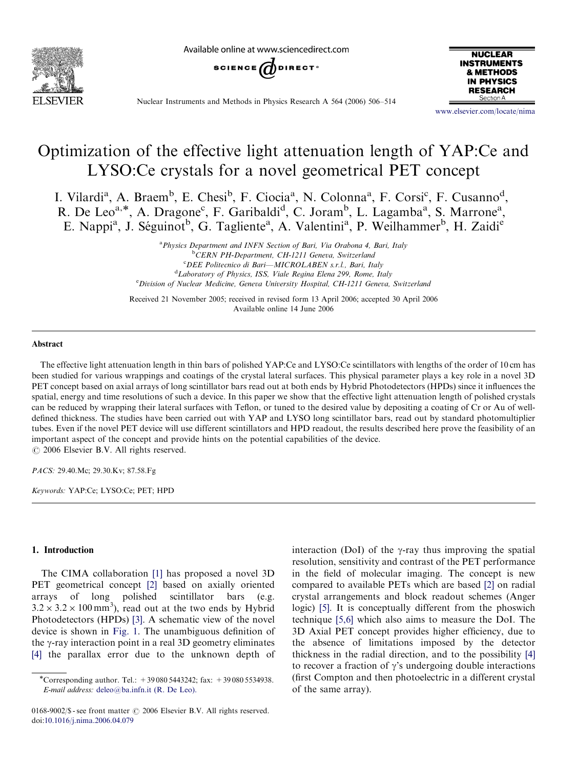

Available online at www.sciencedirect.com





Nuclear Instruments and Methods in Physics Research A 564 (2006) 506–514

<www.elsevier.com/locate/nima>

# Optimization of the effective light attenuation length of YAP:Ce and LYSO:Ce crystals for a novel geometrical PET concept

I. Vilardi<sup>a</sup>, A. Braem<sup>b</sup>, E. Chesi<sup>b</sup>, F. Ciocia<sup>a</sup>, N. Colonna<sup>a</sup>, F. Corsi<sup>c</sup>, F. Cusanno<sup>d</sup>, R. De Leo<sup>a,\*</sup>, A. Dragone<sup>c</sup>, F. Garibaldi<sup>d</sup>, C. Joram<sup>b</sup>, L. Lagamba<sup>a</sup>, S. Marrone<sup>a</sup>, E. Nappi<sup>a</sup>, J. Séguinot<sup>b</sup>, G. Tagliente<sup>a</sup>, A. Valentini<sup>a</sup>, P. Weilhammer<sup>b</sup>, H. Zaidi<sup>e</sup>

> <sup>a</sup> Physics Department and INFN Section of Bari, Via Orabona 4, Bari, Italy <sup>b</sup>CERN PH-Department, CH-1211 Geneva, Switzerland <sup>c</sup>DEE Politecnico di Bari--MICROLABEN s.r.l., Bari, Italy <sup>d</sup>Laboratory of Physics, ISS, Viale Regina Elena 299, Rome, Italy <sup>e</sup> Division of Nuclear Medicine, Geneva University Hospital, CH-1211 Geneva, Switzerlana

Received 21 November 2005; received in revised form 13 April 2006; accepted 30 April 2006 Available online 14 June 2006

# Abstract

The effective light attenuation length in thin bars of polished YAP:Ce and LYSO:Ce scintillators with lengths of the order of 10 cm has been studied for various wrappings and coatings of the crystal lateral surfaces. This physical parameter plays a key role in a novel 3D PET concept based on axial arrays of long scintillator bars read out at both ends by Hybrid Photodetectors (HPDs) since it influences the spatial, energy and time resolutions of such a device. In this paper we show that the effective light attenuation length of polished crystals can be reduced by wrapping their lateral surfaces with Teflon, or tuned to the desired value by depositing a coating of Cr or Au of welldefined thickness. The studies have been carried out with YAP and LYSO long scintillator bars, read out by standard photomultiplier tubes. Even if the novel PET device will use different scintillators and HPD readout, the results described here prove the feasibility of an important aspect of the concept and provide hints on the potential capabilities of the device.  $\odot$  2006 Elsevier B.V. All rights reserved.

PACS: 29.40.Mc; 29.30.Kv; 87.58.Fg

Keywords: YAP:Ce; LYSO:Ce; PET; HPD

# 1. Introduction

The CIMA collaboration [\[1\]](#page-8-0) has proposed a novel 3D PET geometrical concept [\[2\]](#page-8-0) based on axially oriented arrays of long polished scintillator bars (e.g.  $3.2 \times 3.2 \times 100 \text{ mm}^3$ , read out at the two ends by Hybrid Photodetectors (HPDs) [\[3\]](#page-8-0). A schematic view of the novel device is shown in [Fig. 1](#page-1-0). The unambiguous definition of the  $\gamma$ -ray interaction point in a real 3D geometry eliminates [\[4\]](#page-8-0) the parallax error due to the unknown depth of

0168-9002/\$ - see front matter  $\odot$  2006 Elsevier B.V. All rights reserved. doi:[10.1016/j.nima.2006.04.079](dx.doi.org/10.1016/j.nima.2006.04.079)

interaction (DoI) of the  $\gamma$ -ray thus improving the spatial resolution, sensitivity and contrast of the PET performance in the field of molecular imaging. The concept is new compared to available PETs which are based [\[2\]](#page-8-0) on radial crystal arrangements and block readout schemes (Anger logic) [\[5\]](#page-8-0). It is conceptually different from the phoswich technique [\[5,6\]](#page-8-0) which also aims to measure the DoI. The 3D Axial PET concept provides higher efficiency, due to the absence of limitations imposed by the detector thickness in the radial direction, and to the possibility [\[4\]](#page-8-0) to recover a fraction of  $\gamma$ 's undergoing double interactions (first Compton and then photoelectric in a different crystal of the same array).

<sup>\*</sup>Corresponding author. Tel.:  $+390805443242$ ; fax:  $+390805534938$ . E-mail address: [deleo@ba.infn.it \(R. De Leo\).](mailto:deleo@ba.infn.it)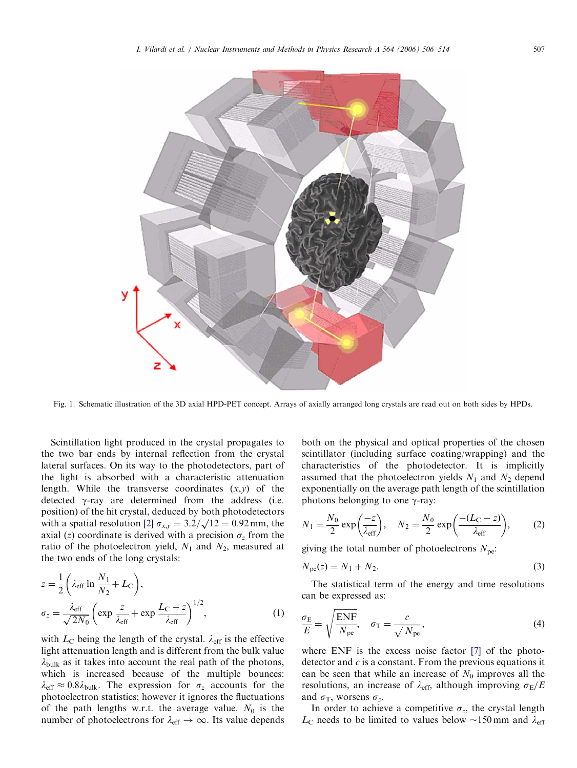<span id="page-1-0"></span>

Fig. 1. Schematic illustration of the 3D axial HPD-PET concept. Arrays of axially arranged long crystals are read out on both sides by HPDs.

Scintillation light produced in the crystal propagates to the two bar ends by internal reflection from the crystal lateral surfaces. On its way to the photodetectors, part of the light is absorbed with a characteristic attenuation length. While the transverse coordinates  $(x,y)$  of the detected  $\gamma$ -ray are determined from the address (i.e. position) of the hit crystal, deduced by both photodetectors position) of the fit crystal, deduced by both photodetectors<br>with a spatial resolution [\[2\]](#page-8-0)  $\sigma_{xy} = 3.2/\sqrt{12} = 0.92$  mm, the axial (z) coordinate is derived with a precision  $\sigma_z$  from the ratio of the photoelectron yield,  $N_1$  and  $N_2$ , measured at the two ends of the long crystals:

$$
z = \frac{1}{2} \left( \lambda_{\text{eff}} \ln \frac{N_1}{N_2} + L_{\text{C}} \right),
$$
  
\n
$$
\sigma_z = \frac{\lambda_{\text{eff}}}{\sqrt{2N_0}} \left( \exp \frac{z}{\lambda_{\text{eff}}} + \exp \frac{L_{\text{C}} - z}{\lambda_{\text{eff}}} \right)^{1/2},
$$
\n(1)

with  $L_{\rm C}$  being the length of the crystal.  $\lambda_{\rm eff}$  is the effective light attenuation length and is different from the bulk value  $\lambda_{\text{bulk}}$  as it takes into account the real path of the photons, which is increased because of the multiple bounces:  $\lambda_{\text{eff}} \approx 0.8\lambda_{\text{bulk}}$ . The expression for  $\sigma_z$  accounts for the photoelectron statistics; however it ignores the fluctuations of the path lengths w.r.t. the average value.  $N_0$  is the number of photoelectrons for  $\lambda_{\text{eff}} \rightarrow \infty$ . Its value depends both on the physical and optical properties of the chosen scintillator (including surface coating/wrapping) and the characteristics of the photodetector. It is implicitly assumed that the photoelectron yields  $N_1$  and  $N_2$  depend exponentially on the average path length of the scintillation photons belonging to one  $\gamma$ -ray:

$$
N_1 = \frac{N_0}{2} \exp\left(\frac{-z}{\lambda_{\text{eff}}}\right), \quad N_2 = \frac{N_0}{2} \exp\left(\frac{-(L_C - z)}{\lambda_{\text{eff}}}\right), \quad (2)
$$

giving the total number of photoelectrons  $N_{\text{pe}}$ .

$$
N_{\rm pe}(z) = N_1 + N_2. \tag{3}
$$

The statistical term of the energy and time resolutions can be expressed as:

$$
\frac{\sigma_{\rm E}}{E} = \sqrt{\frac{\rm ENF}{N_{\rm pe}}}, \quad \sigma_{\rm T} = \frac{c}{\sqrt{N_{\rm pe}}},\tag{4}
$$

where ENF is the excess noise factor [\[7\]](#page-8-0) of the photodetector and  $c$  is a constant. From the previous equations it can be seen that while an increase of  $N_0$  improves all the resolutions, an increase of  $\lambda_{\text{eff}}$ , although improving  $\sigma_E/E$ and  $\sigma_T$ , worsens  $\sigma_z$ .

In order to achieve a competitive  $\sigma_z$ , the crystal length  $L_{\rm C}$  needs to be limited to values below  $\sim$ 150 mm and  $\lambda_{\rm eff}$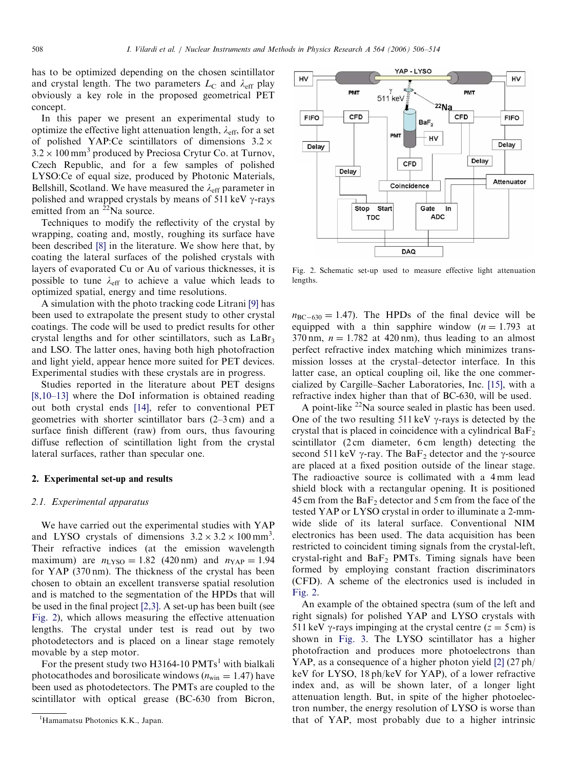has to be optimized depending on the chosen scintillator and crystal length. The two parameters  $L_{\rm C}$  and  $\lambda_{\rm eff}$  play obviously a key role in the proposed geometrical PET concept.

In this paper we present an experimental study to optimize the effective light attenuation length,  $\lambda_{\text{eff}}$ , for a set of polished YAP:Ce scintillators of dimensions  $3.2 \times$  $3.2 \times 100 \text{ mm}^3$  produced by Preciosa Crytur Co. at Turnov, Czech Republic, and for a few samples of polished LYSO:Ce of equal size, produced by Photonic Materials, Bellshill, Scotland. We have measured the  $\lambda_{\text{eff}}$  parameter in polished and wrapped crystals by means of 511 keV  $\gamma$ -rays emitted from an <sup>22</sup>Na source.

Techniques to modify the reflectivity of the crystal by wrapping, coating and, mostly, roughing its surface have been described [\[8\]](#page-8-0) in the literature. We show here that, by coating the lateral surfaces of the polished crystals with layers of evaporated Cu or Au of various thicknesses, it is possible to tune  $\lambda_{\text{eff}}$  to achieve a value which leads to optimized spatial, energy and time resolutions.

A simulation with the photo tracking code Litrani [\[9\]](#page-8-0) has been used to extrapolate the present study to other crystal coatings. The code will be used to predict results for other crystal lengths and for other scintillators, such as  $LaBr<sub>3</sub>$ and LSO. The latter ones, having both high photofraction and light yield, appear hence more suited for PET devices. Experimental studies with these crystals are in progress.

Studies reported in the literature about PET designs [\[8,10–13\]](#page-8-0) where the DoI information is obtained reading out both crystal ends [\[14\],](#page-8-0) refer to conventional PET geometries with shorter scintillator bars (2–3 cm) and a surface finish different (raw) from ours, thus favouring diffuse reflection of scintillation light from the crystal lateral surfaces, rather than specular one.

# 2. Experimental set-up and results

# 2.1. Experimental apparatus

We have carried out the experimental studies with YAP and LYSO crystals of dimensions  $3.2 \times 3.2 \times 100 \text{ mm}^3$ . Their refractive indices (at the emission wavelength maximum) are  $n_{\text{LYSO}} = 1.82$  (420 nm) and  $n_{\text{YAP}} = 1.94$ for YAP (370 nm). The thickness of the crystal has been chosen to obtain an excellent transverse spatial resolution and is matched to the segmentation of the HPDs that will be used in the final project [\[2,3\].](#page-8-0) A set-up has been built (see Fig. 2), which allows measuring the effective attenuation lengths. The crystal under test is read out by two photodetectors and is placed on a linear stage remotely movable by a step motor.

For the present study two H3164-10  $PMTs<sup>1</sup>$  with bialkali photocathodes and borosilicate windows ( $n_{\text{win}} = 1.47$ ) have been used as photodetectors. The PMTs are coupled to the scintillator with optical grease (BC-630 from Bicron,



Fig. 2. Schematic set-up used to measure effective light attenuation lengths.

 $n_{BC-630} = 1.47$ . The HPDs of the final device will be equipped with a thin sapphire window  $(n = 1.793$  at 370 nm,  $n = 1.782$  at 420 nm), thus leading to an almost perfect refractive index matching which minimizes transmission losses at the crystal–detector interface. In this latter case, an optical coupling oil, like the one commercialized by Cargille–Sacher Laboratories, Inc. [\[15\],](#page-8-0) with a refractive index higher than that of BC-630, will be used.

A point-like  $^{22}$ Na source sealed in plastic has been used. One of the two resulting 511 keV  $\gamma$ -rays is detected by the crystal that is placed in coincidence with a cylindrical  $BaF<sub>2</sub>$ scintillator (2 cm diameter, 6 cm length) detecting the second 511 keV  $\gamma$ -ray. The BaF<sub>2</sub> detector and the  $\gamma$ -source are placed at a fixed position outside of the linear stage. The radioactive source is collimated with a 4 mm lead shield block with a rectangular opening. It is positioned 45 cm from the  $BaF<sub>2</sub>$  detector and 5 cm from the face of the tested YAP or LYSO crystal in order to illuminate a 2-mmwide slide of its lateral surface. Conventional NIM electronics has been used. The data acquisition has been restricted to coincident timing signals from the crystal-left, crystal-right and  $BaF<sub>2</sub>$  PMTs. Timing signals have been formed by employing constant fraction discriminators (CFD). A scheme of the electronics used is included in Fig. 2.

An example of the obtained spectra (sum of the left and right signals) for polished YAP and LYSO crystals with 511 keV  $\gamma$ -rays impinging at the crystal centre ( $z = 5$  cm) is shown in [Fig. 3.](#page-3-0) The LYSO scintillator has a higher photofraction and produces more photoelectrons than YAP, as a consequence of a higher photon yield [\[2\]](#page-8-0) (27 ph/ keV for LYSO, 18 ph/keV for YAP), of a lower refractive index and, as will be shown later, of a longer light attenuation length. But, in spite of the higher photoelectron number, the energy resolution of LYSO is worse than that of YAP, most probably due to a higher intrinsic

<sup>&</sup>lt;sup>1</sup>Hamamatsu Photonics K.K., Japan.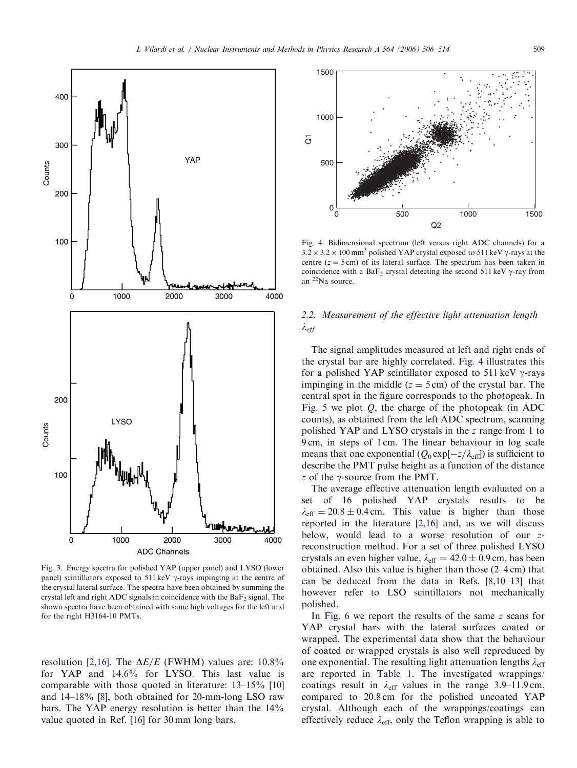<span id="page-3-0"></span>

Fig. 3. Energy spectra for polished YAP (upper panel) and LYSO (lower panel) scintillators exposed to 511 keV  $\gamma$ -rays impinging at the centre of the crystal lateral surface. The spectra have been obtained by summing the crystal left and right ADC signals in coincidence with the  $BaF<sub>2</sub>$  signal. The shown spectra have been obtained with same high voltages for the left and for the right H3164-10 PMTs.

resolution [\[2,16\].](#page-8-0) The  $\Delta E/E$  (FWHM) values are: 10.8% for YAP and 14.6% for LYSO. This last value is comparable with those quoted in literature: 13–15% [\[10\]](#page-8-0) and 14–18% [\[8\]](#page-8-0), both obtained for 20-mm-long LSO raw bars. The YAP energy resolution is better than the 14% value quoted in Ref. [\[16\]](#page-8-0) for 30 mm long bars.



Fig. 4. Bidimensional spectrum (left versus right ADC channels) for a  $3.2 \times 3.2 \times 100$  mm<sup>3</sup> polished YAP crystal exposed to 511 keV  $\gamma$ -rays at the centre ( $z = 5$  cm) of its lateral surface. The spectrum has been taken in coincidence with a  $BaF_2$  crystal detecting the second 511 keV  $\gamma$ -ray from an 22Na source.

# 2.2. Measurement of the effective light attenuation length  $\lambda_{eff}$

The signal amplitudes measured at left and right ends of the crystal bar are highly correlated. Fig. 4 illustrates this for a polished YAP scintillator exposed to 511 keV  $\gamma$ -rays impinging in the middle  $(z = 5 \text{ cm})$  of the crystal bar. The central spot in the figure corresponds to the photopeak. In [Fig. 5](#page-4-0) we plot  $Q$ , the charge of the photopeak (in ADC counts), as obtained from the left ADC spectrum, scanning polished YAP and LYSO crystals in the z range from 1 to 9 cm, in steps of 1 cm. The linear behaviour in log scale means that one exponential  $(Q_0 \exp[-z/\lambda_{\text{eff}}])$  is sufficient to describe the PMT pulse height as a function of the distance z of the  $\gamma$ -source from the PMT.

The average effective attenuation length evaluated on a set of 16 polished YAP crystals results to be  $\lambda_{\text{eff}} = 20.8 \pm 0.4 \text{ cm}$ . This value is higher than those reported in the literature [\[2,16\]](#page-8-0) and, as we will discuss below, would lead to a worse resolution of our zreconstruction method. For a set of three polished LYSO crystals an even higher value,  $\lambda_{\text{eff}} = 42.0 \pm 0.9 \text{ cm}$ , has been obtained. Also this value is higher than those (2–4 cm) that can be deduced from the data in Refs. [\[8,10–13\]](#page-8-0) that however refer to LSO scintillators not mechanically polished.

In [Fig. 6](#page-4-0) we report the results of the same z scans for YAP crystal bars with the lateral surfaces coated or wrapped. The experimental data show that the behaviour of coated or wrapped crystals is also well reproduced by one exponential. The resulting light attenuation lengths  $\lambda_{\text{eff}}$ are reported in [Table 1](#page-4-0). The investigated wrappings/ coatings result in  $\lambda_{\text{eff}}$  values in the range 3.9–11.9 cm, compared to 20.8 cm for the polished uncoated YAP crystal. Although each of the wrappings/coatings can effectively reduce  $\lambda_{\text{eff}}$ , only the Teflon wrapping is able to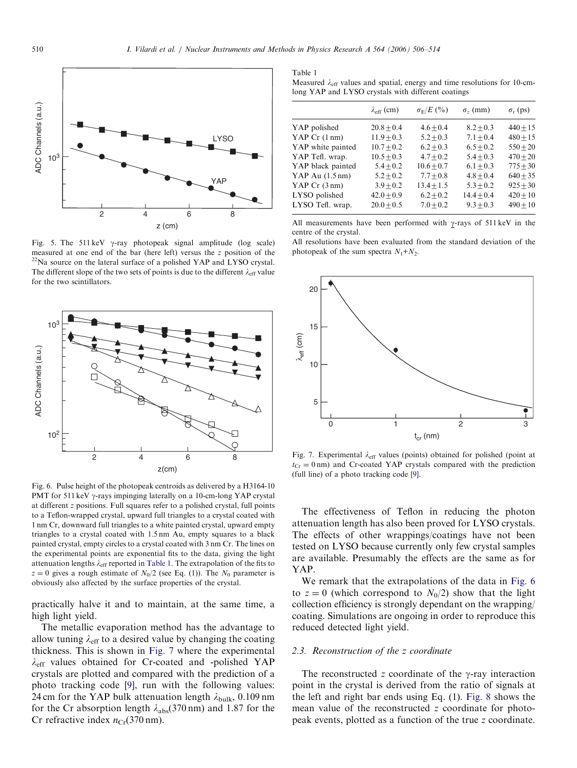<span id="page-4-0"></span>

Fig. 5. The 511 keV  $\gamma$ -ray photopeak signal amplitude (log scale) measured at one end of the bar (here left) versus the z position of the  $^{22}$ Na source on the lateral surface of a polished YAP and LYSO crystal. The different slope of the two sets of points is due to the different  $\lambda_{\text{eff}}$  value for the two scintillators.



Fig. 6. Pulse height of the photopeak centroids as delivered by a H3164-10 PMT for 511 keV  $\gamma$ -rays impinging laterally on a 10-cm-long YAP crystal at different z positions. Full squares refer to a polished crystal, full points to a Teflon-wrapped crystal, upward full triangles to a crystal coated with 1 nm Cr, downward full triangles to a white painted crystal, upward empty triangles to a crystal coated with 1.5 nm Au, empty squares to a black painted crystal, empty circles to a crystal coated with 3 nm Cr. The lines on the experimental points are exponential fits to the data, giving the light attenuation lengths  $\lambda_{\text{eff}}$  reported in Table 1. The extrapolation of the fits to  $z = 0$  gives a rough estimate of  $N_0/2$  (see Eq. (1)). The  $N_0$  parameter is obviously also affected by the surface properties of the crystal.

practically halve it and to maintain, at the same time, a high light yield.

The metallic evaporation method has the advantage to allow tuning  $\lambda_{\text{eff}}$  to a desired value by changing the coating thickness. This is shown in Fig. 7 where the experimental  $\lambda_{\text{eff}}$  values obtained for Cr-coated and -polished YAP crystals are plotted and compared with the prediction of a photo tracking code [\[9\]](#page-8-0), run with the following values: 24 cm for the YAP bulk attenuation length  $\lambda_{\text{bulk}}$ , 0.109 nm for the Cr absorption length  $\lambda_{\text{abs}}(370 \text{ nm})$  and 1.87 for the Cr refractive index  $n_{Cr}(370 \text{ nm})$ .

Table 1 Measured  $\lambda_{\text{eff}}$  values and spatial, energy and time resolutions for 10-cmlong YAP and LYSO crystals with different coatings

|                           | $\lambda_{\rm eff}$ (cm) | $\sigma_{\rm E}/E$ (%) | $\sigma$ <sub>z</sub> (mm) | $\sigma_t$ (ps) |
|---------------------------|--------------------------|------------------------|----------------------------|-----------------|
|                           |                          |                        |                            |                 |
| YAP polished              | $20.8 + 0.4$             | $4.6 + 0.4$            | $8.2 + 0.3$                | $440 + 15$      |
| YAP $Cr(1 nm)$            | $11.9 + 0.3$             | $5.2 + 0.3$            | $7.1 + 0.4$                | $480 + 15$      |
| YAP white painted         | $10.7 + 0.2$             | $6.2 + 0.3$            | $6.5 + 0.2$                | $550 + 20$      |
| YAP Tefl. wrap.           | $10.5 + 0.3$             | $4.7 + 0.2$            | $5.4 + 0.3$                | $470 + 20$      |
| YAP black painted         | $5.4 + 0.2$              | $10.6 + 0.7$           | $6.1 + 0.3$                | $775 + 30$      |
| YAP Au $(1.5 \text{ nm})$ | $5.2 + 0.2$              | $7.7 + 0.8$            | $4.8 + 0.4$                | $640 + 35$      |
| YAP $Cr(3 nm)$            | $3.9 + 0.2$              | $13.4 + 1.5$           | $5.3 + 0.2$                | $925 + 30$      |
| LYSO polished             | $42.0 + 0.9$             | $6.2 + 0.2$            | $14.4 + 0.4$               | $420 + 10$      |
| LYSO Tefl. wrap.          | $20.0 + 0.5$             | $7.0 + 0.2$            | $9.3 + 0.3$                | $490 + 10$      |

All measurements have been performed with  $\gamma$ -rays of 511 keV in the centre of the crystal.

All resolutions have been evaluated from the standard deviation of the photopeak of the sum spectra  $N_1 + N_2$ .



Fig. 7. Experimental  $\lambda_{\text{eff}}$  values (points) obtained for polished (point at  $t_{Cr} = 0$  nm) and Cr-coated YAP crystals compared with the prediction (full line) of a photo tracking code [\[9\]](#page-8-0).

The effectiveness of Teflon in reducing the photon attenuation length has also been proved for LYSO crystals. The effects of other wrappings/coatings have not been tested on LYSO because currently only few crystal samples are available. Presumably the effects are the same as for YAP.

We remark that the extrapolations of the data in Fig. 6 to  $z = 0$  (which correspond to  $N_0/2$ ) show that the light collection efficiency is strongly dependant on the wrapping/ coating. Simulations are ongoing in order to reproduce this reduced detected light yield.

## 2.3. Reconstruction of the z coordinate

The reconstructed z coordinate of the  $\gamma$ -ray interaction point in the crystal is derived from the ratio of signals at the left and right bar ends using Eq. (1). [Fig. 8](#page-5-0) shows the mean value of the reconstructed z coordinate for photopeak events, plotted as a function of the true z coordinate.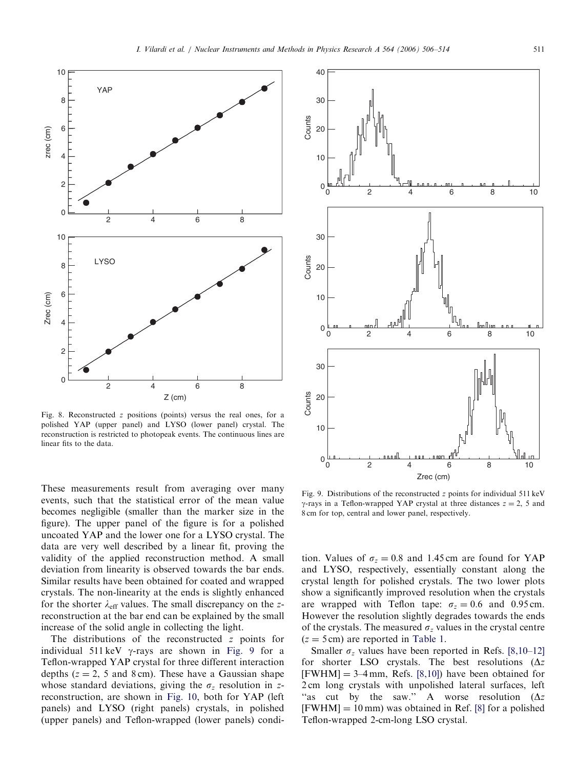<span id="page-5-0"></span>

Fig. 8. Reconstructed z positions (points) versus the real ones, for a polished YAP (upper panel) and LYSO (lower panel) crystal. The reconstruction is restricted to photopeak events. The continuous lines are linear fits to the data.

These measurements result from averaging over many events, such that the statistical error of the mean value becomes negligible (smaller than the marker size in the figure). The upper panel of the figure is for a polished uncoated YAP and the lower one for a LYSO crystal. The data are very well described by a linear fit, proving the validity of the applied reconstruction method. A small deviation from linearity is observed towards the bar ends. Similar results have been obtained for coated and wrapped crystals. The non-linearity at the ends is slightly enhanced for the shorter  $\lambda_{\text{eff}}$  values. The small discrepancy on the zreconstruction at the bar end can be explained by the small increase of the solid angle in collecting the light.

The distributions of the reconstructed z points for individual 511 keV  $\gamma$ -rays are shown in Fig. 9 for a Teflon-wrapped YAP crystal for three different interaction depths ( $z = 2$ , 5 and 8 cm). These have a Gaussian shape whose standard deviations, giving the  $\sigma_z$  resolution in zreconstruction, are shown in [Fig. 10](#page-6-0), both for YAP (left panels) and LYSO (right panels) crystals, in polished (upper panels) and Teflon-wrapped (lower panels) condi-



Fig. 9. Distributions of the reconstructed  $z$  points for individual 511 keV  $\gamma$ -rays in a Teflon-wrapped YAP crystal at three distances  $z = 2$ , 5 and 8 cm for top, central and lower panel, respectively.

tion. Values of  $\sigma_z = 0.8$  and 1.45 cm are found for YAP and LYSO, respectively, essentially constant along the crystal length for polished crystals. The two lower plots show a significantly improved resolution when the crystals are wrapped with Teflon tape:  $\sigma_z = 0.6$  and 0.95 cm. However the resolution slightly degrades towards the ends of the crystals. The measured  $\sigma_z$  values in the crystal centre  $(z = 5 \text{ cm})$  are reported in [Table 1.](#page-4-0)

Smaller  $\sigma_z$  values have been reported in Refs. [\[8,10–12\]](#page-8-0) for shorter LSO crystals. The best resolutions ( $\Delta z$  $[FWHM] = 3-4$  mm, Refs. [\[8,10\]\)](#page-8-0) have been obtained for 2 cm long crystals with unpolished lateral surfaces, left "as cut by the saw." A worse resolution  $(\Delta z)$  $[FWHM] = 10$  mm) was obtained in Ref. [\[8\]](#page-8-0) for a polished Teflon-wrapped 2-cm-long LSO crystal.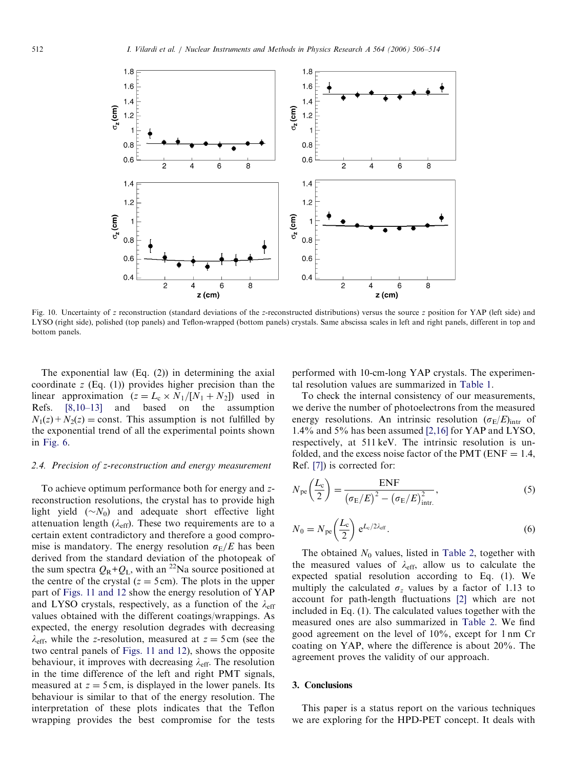<span id="page-6-0"></span>

Fig. 10. Uncertainty of z reconstruction (standard deviations of the z-reconstructed distributions) versus the source z position for YAP (left side) and LYSO (right side), polished (top panels) and Teflon-wrapped (bottom panels) crystals. Same abscissa scales in left and right panels, different in top and bottom panels.

The exponential law (Eq. (2)) in determining the axial coordinate  $z$  (Eq. (1)) provides higher precision than the linear approximation  $(z = L_c \times N_1/[N_1 + N_2])$  used in Refs. [\[8,10–13\]](#page-8-0) and based on the assumption  $N_1(z) + N_2(z) =$ const. This assumption is not fulfilled by the exponential trend of all the experimental points shown in [Fig. 6.](#page-4-0)

#### 2.4. Precision of z-reconstruction and energy measurement

To achieve optimum performance both for energy and zreconstruction resolutions, the crystal has to provide high light yield  $(\sim N_0)$  and adequate short effective light attenuation length  $(\lambda_{\text{eff}})$ . These two requirements are to a certain extent contradictory and therefore a good compromise is mandatory. The energy resolution  $\sigma_E/E$  has been derived from the standard deviation of the photopeak of the sum spectra  $Q_R+Q_L$ , with an <sup>22</sup>Na source positioned at the centre of the crystal ( $z = 5$  cm). The plots in the upper part of [Figs. 11 and 12](#page-7-0) show the energy resolution of YAP and LYSO crystals, respectively, as a function of the  $\lambda_{\text{eff}}$ values obtained with the different coatings/wrappings. As expected, the energy resolution degrades with decreasing  $\lambda_{\text{eff}}$ , while the z-resolution, measured at  $z = 5 \text{ cm}$  (see the two central panels of [Figs. 11 and 12\)](#page-7-0), shows the opposite behaviour, it improves with decreasing  $\lambda_{\text{eff}}$ . The resolution in the time difference of the left and right PMT signals, measured at  $z = 5$  cm, is displayed in the lower panels. Its behaviour is similar to that of the energy resolution. The interpretation of these plots indicates that the Teflon wrapping provides the best compromise for the tests performed with 10-cm-long YAP crystals. The experimental resolution values are summarized in [Table 1](#page-4-0).

To check the internal consistency of our measurements, we derive the number of photoelectrons from the measured energy resolutions. An intrinsic resolution  $(\sigma_E/E)_{\text{intr}}$  of 1.4% and 5% has been assumed [\[2,16\]](#page-8-0) for YAP and LYSO, respectively, at 511 keV. The intrinsic resolution is unfolded, and the excess noise factor of the PMT ( $ENF = 1.4$ , Ref. [\[7\]\)](#page-8-0) is corrected for:

$$
N_{\rm pe} \left(\frac{L_{\rm c}}{2}\right) = \frac{\rm ENF}{\left(\sigma_{\rm E}/E\right)^2 - \left(\sigma_{\rm E}/E\right)_{\rm intr.}^2},\tag{5}
$$

$$
N_0 = N_{\rm pe} \left(\frac{L_{\rm c}}{2}\right) e^{L_{\rm c}/2\lambda_{\rm eff}}.\tag{6}
$$

The obtained  $N_0$  values, listed in [Table 2](#page-8-0), together with the measured values of  $\lambda_{\text{eff}}$ , allow us to calculate the expected spatial resolution according to Eq. (1). We multiply the calculated  $\sigma_z$  values by a factor of 1.13 to account for path-length fluctuations [\[2\]](#page-8-0) which are not included in Eq. (1). The calculated values together with the measured ones are also summarized in [Table 2.](#page-8-0) We find good agreement on the level of 10%, except for 1 nm Cr coating on YAP, where the difference is about 20%. The agreement proves the validity of our approach.

## 3. Conclusions

This paper is a status report on the various techniques we are exploring for the HPD-PET concept. It deals with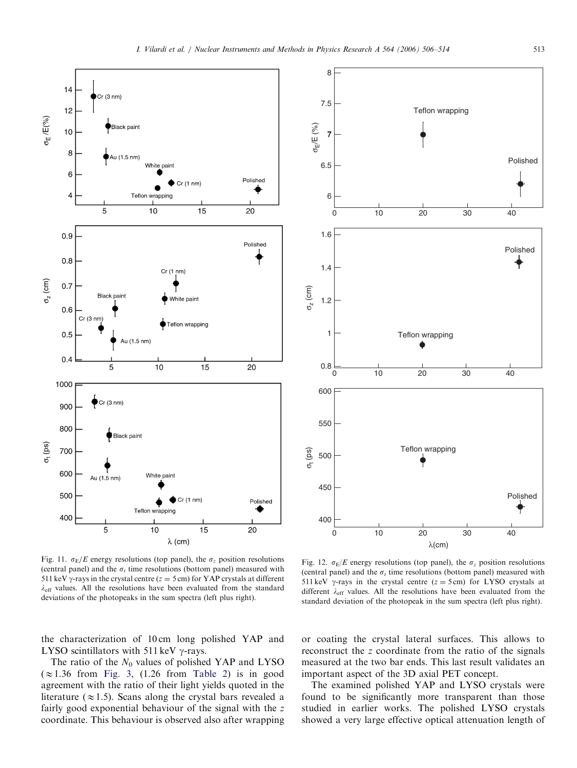<span id="page-7-0"></span>



Fig. 11.  $\sigma_E/E$  energy resolutions (top panel), the  $\sigma_z$  position resolutions (central panel) and the  $\sigma_t$  time resolutions (bottom panel) measured with 511 keV  $\gamma$ -rays in the crystal centre ( $z = 5$  cm) for YAP crystals at different  $\lambda_{\text{eff}}$  values. All the resolutions have been evaluated from the standard deviations of the photopeaks in the sum spectra (left plus right).

Fig. 12.  $\sigma_E/E$  energy resolutions (top panel), the  $\sigma_z$  position resolutions (central panel) and the  $\sigma_t$  time resolutions (bottom panel) measured with 511 keV  $\gamma$ -rays in the crystal centre ( $z = 5$  cm) for LYSO crystals at different  $\lambda_{\text{eff}}$  values. All the resolutions have been evaluated from the standard deviation of the photopeak in the sum spectra (left plus right).

the characterization of 10 cm long polished YAP and LYSO scintillators with 511 keV  $\gamma$ -rays.

The ratio of the  $N_0$  values of polished YAP and LYSO  $(\approx 1.36$  from [Fig. 3,](#page-3-0) (1.26 from [Table 2\)](#page-8-0) is in good agreement with the ratio of their light yields quoted in the literature ( $\approx$ 1.5). Scans along the crystal bars revealed a fairly good exponential behaviour of the signal with the z coordinate. This behaviour is observed also after wrapping or coating the crystal lateral surfaces. This allows to reconstruct the z coordinate from the ratio of the signals measured at the two bar ends. This last result validates an important aspect of the 3D axial PET concept.

The examined polished YAP and LYSO crystals were found to be significantly more transparent than those studied in earlier works. The polished LYSO crystals showed a very large effective optical attenuation length of